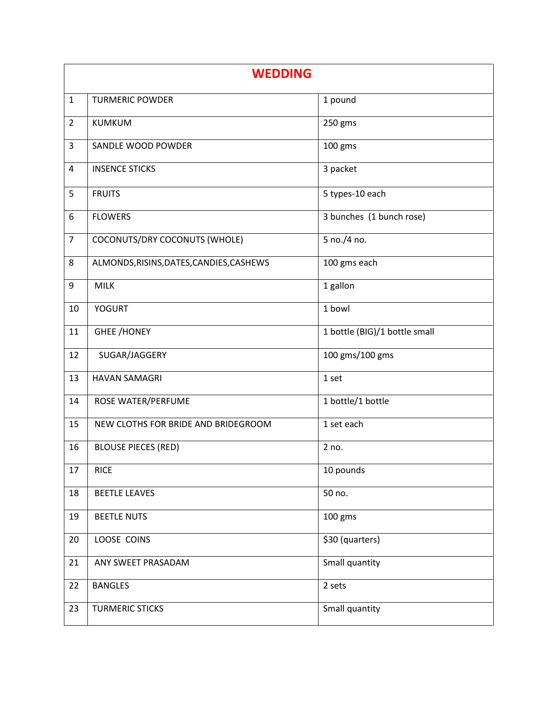| <b>WEDDING</b> |                                          |                               |
|----------------|------------------------------------------|-------------------------------|
| $\mathbf{1}$   | <b>TURMERIC POWDER</b>                   | 1 pound                       |
| $\overline{2}$ | <b>KUMKUM</b>                            | 250 gms                       |
| 3              | SANDLE WOOD POWDER                       | 100 gms                       |
| 4              | <b>INSENCE STICKS</b>                    | 3 packet                      |
| 5              | <b>FRUITS</b>                            | 5 types-10 each               |
| 6              | <b>FLOWERS</b>                           | 3 bunches (1 bunch rose)      |
| $\overline{7}$ | COCONUTS/DRY COCONUTS (WHOLE)            | 5 no./4 no.                   |
| 8              | ALMONDS, RISINS, DATES, CANDIES, CASHEWS | 100 gms each                  |
| 9              | <b>MILK</b>                              | 1 gallon                      |
| 10             | <b>YOGURT</b>                            | 1 bowl                        |
| 11             | <b>GHEE /HONEY</b>                       | 1 bottle (BIG)/1 bottle small |
| 12             | SUGAR/JAGGERY                            | 100 gms/100 gms               |
| 13             | <b>HAVAN SAMAGRI</b>                     | 1 set                         |
| 14             | ROSE WATER/PERFUME                       | 1 bottle/1 bottle             |
| 15             | NEW CLOTHS FOR BRIDE AND BRIDEGROOM      | 1 set each                    |
| 16             | <b>BLOUSE PIECES (RED)</b>               | 2 no.                         |
| 17             | <b>RICE</b>                              | 10 pounds                     |
| 18             | <b>BEETLE LEAVES</b>                     | 50 no.                        |
| 19             | <b>BEETLE NUTS</b>                       | 100 gms                       |
| 20             | LOOSE COINS                              | \$30 (quarters)               |
| 21             | ANY SWEET PRASADAM                       | Small quantity                |
| 22             | <b>BANGLES</b>                           | 2 sets                        |
| 23             | <b>TURMERIC STICKS</b>                   | Small quantity                |